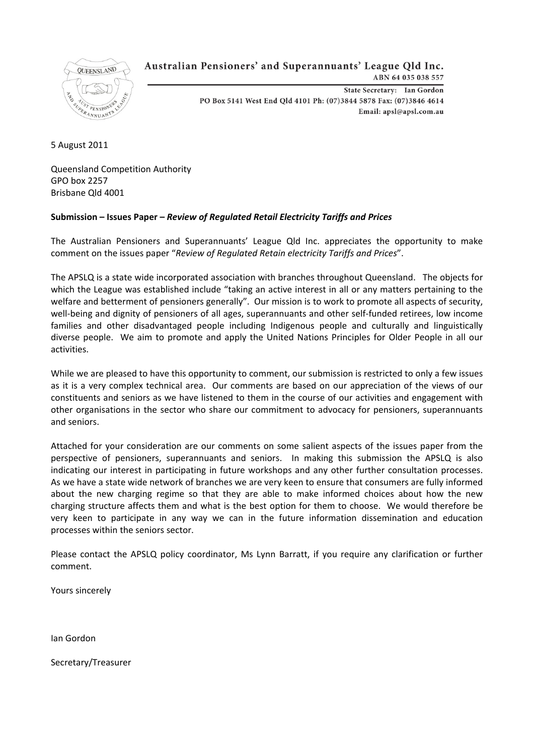

# Australian Pensioners' and Superannuants' League Old Inc.

ABN 64 035 038 557

State Secretary: Ian Gordon PO Box 5141 West End Qld 4101 Ph: (07)3844 5878 Fax: (07)3846 4614 Email: apsl@apsl.com.au

5 August 2011

Queensland Competition Authority GPO box 2257 Brisbane Qld 4001

# **Submission – Issues Paper –** *Review of Regulated Retail Electricity Tariffs and Prices*

The Australian Pensioners and Superannuants' League Qld Inc. appreciates the opportunity to make comment on the issues paper "*Review of Regulated Retain electricity Tariffs and Prices*".

The APSLQ is a state wide incorporated association with branches throughout Queensland. The objects for which the League was established include "taking an active interest in all or any matters pertaining to the welfare and betterment of pensioners generally". Our mission is to work to promote all aspects of security, well-being and dignity of pensioners of all ages, superannuants and other self-funded retirees, low income families and other disadvantaged people including Indigenous people and culturally and linguistically diverse people. We aim to promote and apply the United Nations Principles for Older People in all our activities.

While we are pleased to have this opportunity to comment, our submission is restricted to only a few issues as it is a very complex technical area. Our comments are based on our appreciation of the views of our constituents and seniors as we have listened to them in the course of our activities and engagement with other organisations in the sector who share our commitment to advocacy for pensioners, superannuants and seniors.

Attached for your consideration are our comments on some salient aspects of the issues paper from the perspective of pensioners, superannuants and seniors. In making this submission the APSLQ is also indicating our interest in participating in future workshops and any other further consultation processes. As we have a state wide network of branches we are very keen to ensure that consumers are fully informed about the new charging regime so that they are able to make informed choices about how the new charging structure affects them and what is the best option for them to choose. We would therefore be very keen to participate in any way we can in the future information dissemination and education processes within the seniors sector.

Please contact the APSLQ policy coordinator, Ms Lynn Barratt, if you require any clarification or further comment.

Yours sincerely

Ian Gordon

Secretary/Treasurer